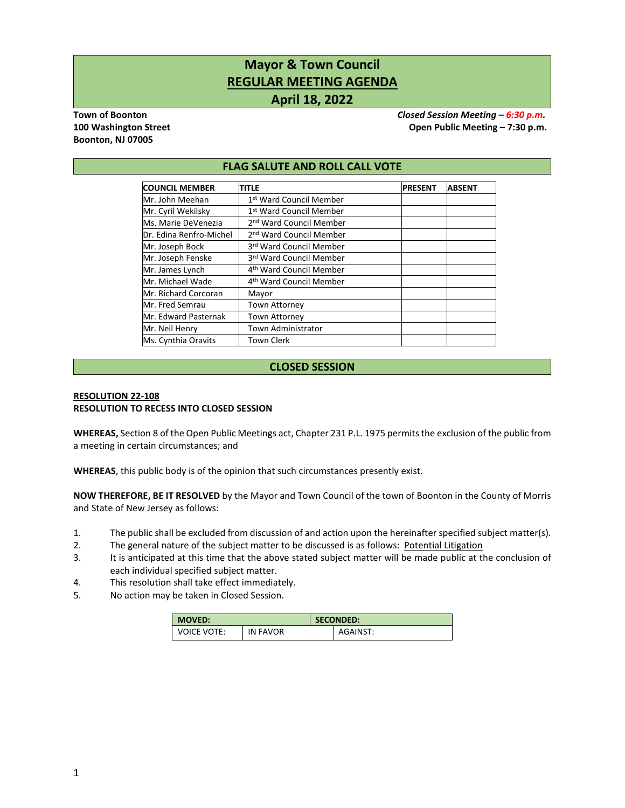# **Mayor & Town Council REGULAR MEETING AGENDA April 18, 2022**

**Boonton, NJ 07005**

**Town of Boonton** *Closed Session Meeting – 6:30 p.m.* **100 Washington Street Open Public Meeting – 7:30 p.m.**

#### **FLAG SALUTE AND ROLL CALL VOTE**

| <b>COUNCIL MEMBER</b>   | TITLE                               | <b>PRESENT</b> | <b>ABSENT</b> |
|-------------------------|-------------------------------------|----------------|---------------|
| Mr. John Meehan         | 1st Ward Council Member             |                |               |
| Mr. Cyril Wekilsky      | 1st Ward Council Member             |                |               |
| Ms. Marie DeVenezia     | 2 <sup>nd</sup> Ward Council Member |                |               |
| Dr. Edina Renfro-Michel | 2 <sup>nd</sup> Ward Council Member |                |               |
| Mr. Joseph Bock         | 3rd Ward Council Member             |                |               |
| Mr. Joseph Fenske       | 3rd Ward Council Member             |                |               |
| Mr. James Lynch         | 4 <sup>th</sup> Ward Council Member |                |               |
| Mr. Michael Wade        | 4 <sup>th</sup> Ward Council Member |                |               |
| Mr. Richard Corcoran    | Mayor                               |                |               |
| Mr. Fred Semrau         | Town Attorney                       |                |               |
| Mr. Edward Pasternak    | <b>Town Attorney</b>                |                |               |
| Mr. Neil Henry          | <b>Town Administrator</b>           |                |               |
| Ms. Cynthia Oravits     | <b>Town Clerk</b>                   |                |               |

# **CLOSED SESSION**

#### **RESOLUTION 22-108 RESOLUTION TO RECESS INTO CLOSED SESSION**

**WHEREAS,** Section 8 of the Open Public Meetings act, Chapter 231 P.L. 1975 permits the exclusion of the public from a meeting in certain circumstances; and

**WHEREAS**, this public body is of the opinion that such circumstances presently exist.

**NOW THEREFORE, BE IT RESOLVED** by the Mayor and Town Council of the town of Boonton in the County of Morris and State of New Jersey as follows:

- 1. The public shall be excluded from discussion of and action upon the hereinafter specified subject matter(s).
- 2. The general nature of the subject matter to be discussed is as follows: Potential Litigation
- 3. It is anticipated at this time that the above stated subject matter will be made public at the conclusion of each individual specified subject matter.
- 4. This resolution shall take effect immediately.
- 5. No action may be taken in Closed Session.

| <b>MOVED:</b>      |          | <b>SECONDED:</b> |          |  |
|--------------------|----------|------------------|----------|--|
| <b>VOICE VOTE:</b> | IN FAVOR |                  | AGAINST: |  |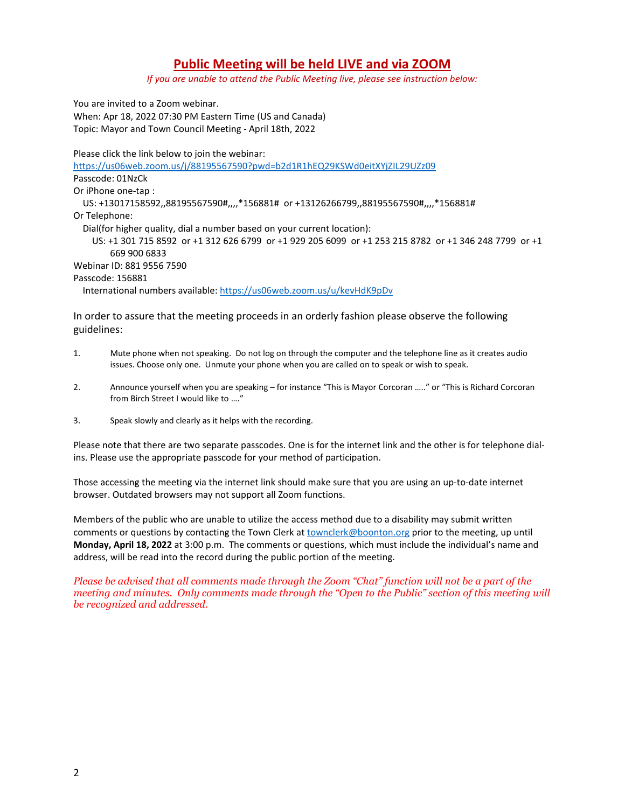# **Public Meeting will be held LIVE and via ZOOM**

*If you are unable to attend the Public Meeting live, please see instruction below:*

You are invited to a Zoom webinar. When: Apr 18, 2022 07:30 PM Eastern Time (US and Canada) Topic: Mayor and Town Council Meeting - April 18th, 2022

Please click the link below to join the webinar:

<https://us06web.zoom.us/j/88195567590?pwd=b2d1R1hEQ29KSWd0eitXYjZIL29UZz09>

Passcode: 01NzCk

Or iPhone one-tap :

 US: +13017158592,,88195567590#,,,,\*156881# or +13126266799,,88195567590#,,,,\*156881# Or Telephone:

Dial(for higher quality, dial a number based on your current location):

 US: +1 301 715 8592 or +1 312 626 6799 or +1 929 205 6099 or +1 253 215 8782 or +1 346 248 7799 or +1 669 900 6833

Webinar ID: 881 9556 7590

Passcode: 156881

International numbers available[: https://us06web.zoom.us/u/kevHdK9pDv](https://us06web.zoom.us/u/kevHdK9pDv) 

In order to assure that the meeting proceeds in an orderly fashion please observe the following guidelines:

- 1. Mute phone when not speaking. Do not log on through the computer and the telephone line as it creates audio issues. Choose only one. Unmute your phone when you are called on to speak or wish to speak.
- 2. Announce yourself when you are speaking for instance "This is Mayor Corcoran ….." or "This is Richard Corcoran from Birch Street I would like to …."
- 3. Speak slowly and clearly as it helps with the recording.

Please note that there are two separate passcodes. One is for the internet link and the other is for telephone dialins. Please use the appropriate passcode for your method of participation.

Those accessing the meeting via the internet link should make sure that you are using an up-to-date internet browser. Outdated browsers may not support all Zoom functions.

Members of the public who are unable to utilize the access method due to a disability may submit written comments or questions by contacting the Town Clerk at **townclerk@boonton.org** prior to the meeting, up until **Monday, April 18, 2022** at 3:00 p.m. The comments or questions, which must include the individual's name and address, will be read into the record during the public portion of the meeting.

*Please be advised that all comments made through the Zoom "Chat" function will not be a part of the meeting and minutes. Only comments made through the "Open to the Public" section of this meeting will be recognized and addressed.*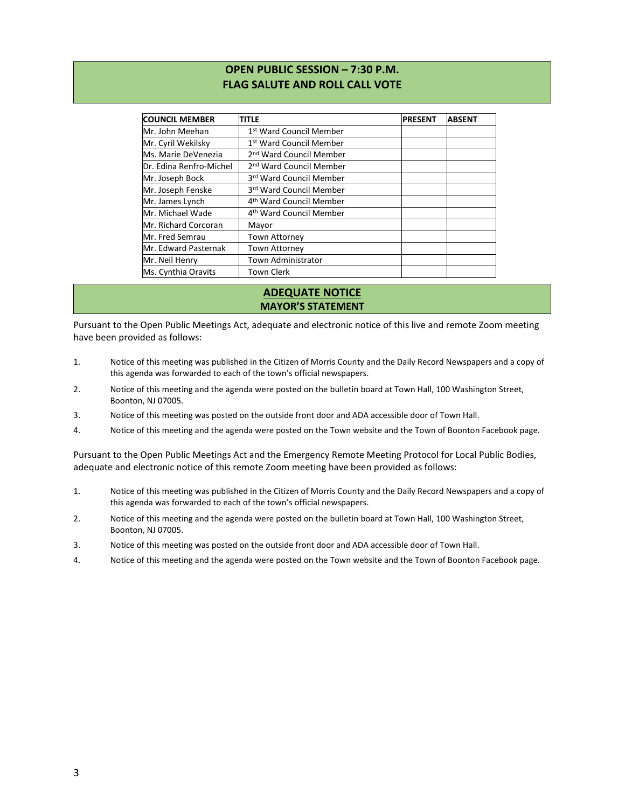# **OPEN PUBLIC SESSION – 7:30 P.M. FLAG SALUTE AND ROLL CALL VOTE**

| <b>COUNCIL MEMBER</b>   | <b>TITLE</b>                        | <b>PRESENT</b> | <b>ABSENT</b> |
|-------------------------|-------------------------------------|----------------|---------------|
| Mr. John Meehan         | 1 <sup>st</sup> Ward Council Member |                |               |
| Mr. Cyril Wekilsky      | 1 <sup>st</sup> Ward Council Member |                |               |
| Ms. Marie DeVenezia     | 2 <sup>nd</sup> Ward Council Member |                |               |
| Dr. Edina Renfro-Michel | 2 <sup>nd</sup> Ward Council Member |                |               |
| Mr. Joseph Bock         | 3rd Ward Council Member             |                |               |
| Mr. Joseph Fenske       | 3rd Ward Council Member             |                |               |
| Mr. James Lynch         | 4 <sup>th</sup> Ward Council Member |                |               |
| Mr. Michael Wade        | 4 <sup>th</sup> Ward Council Member |                |               |
| Mr. Richard Corcoran    | Mayor                               |                |               |
| Mr. Fred Semrau         | <b>Town Attorney</b>                |                |               |
| Mr. Edward Pasternak    | Town Attorney                       |                |               |
| Mr. Neil Henry          | <b>Town Administrator</b>           |                |               |
| Ms. Cynthia Oravits     | <b>Town Clerk</b>                   |                |               |

# **ADEQUATE NOTICE MAYOR'S STATEMENT**

Pursuant to the Open Public Meetings Act, adequate and electronic notice of this live and remote Zoom meeting have been provided as follows:

- 1. Notice of this meeting was published in the Citizen of Morris County and the Daily Record Newspapers and a copy of this agenda was forwarded to each of the town's official newspapers.
- 2. Notice of this meeting and the agenda were posted on the bulletin board at Town Hall, 100 Washington Street, Boonton, NJ 07005.
- 3. Notice of this meeting was posted on the outside front door and ADA accessible door of Town Hall.
- 4. Notice of this meeting and the agenda were posted on the Town website and the Town of Boonton Facebook page.

Pursuant to the Open Public Meetings Act and the Emergency Remote Meeting Protocol for Local Public Bodies, adequate and electronic notice of this remote Zoom meeting have been provided as follows:

- 1. Notice of this meeting was published in the Citizen of Morris County and the Daily Record Newspapers and a copy of this agenda was forwarded to each of the town's official newspapers.
- 2. Notice of this meeting and the agenda were posted on the bulletin board at Town Hall, 100 Washington Street, Boonton, NJ 07005.
- 3. Notice of this meeting was posted on the outside front door and ADA accessible door of Town Hall.
- 4. Notice of this meeting and the agenda were posted on the Town website and the Town of Boonton Facebook page.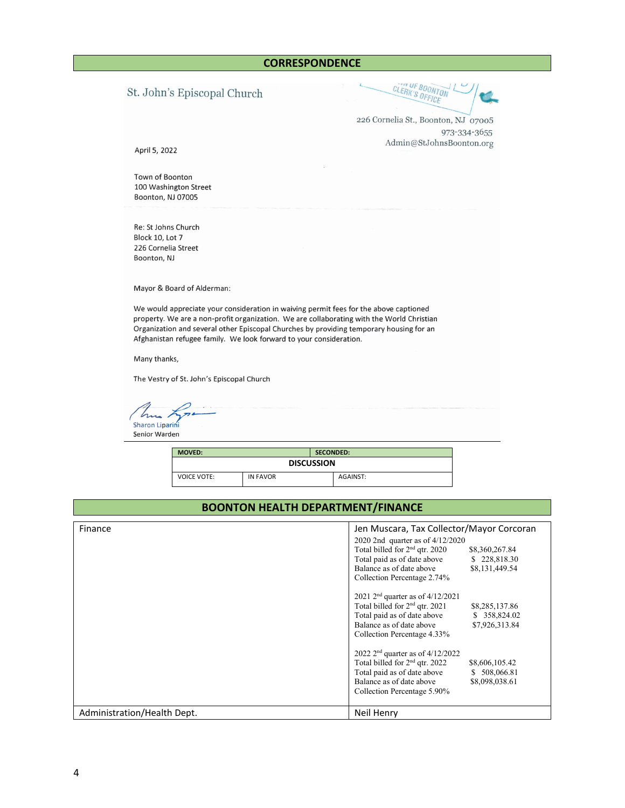# St. John's Episcopal Church

CLERK'S OFFICE

226 Cornelia St., Boonton, NJ 07005 973-334-3655 Admin@StJohnsBoonton.org

April 5, 2022

Town of Boonton 100 Washington Street Boonton, NJ 07005

Re: St Johns Church Block 10, Lot 7 226 Cornelia Street Boonton, NJ

Mayor & Board of Alderman:

We would appreciate your consideration in waiving permit fees for the above captioned property. We are a non-profit organization. We are collaborating with the World Christian Organization and several other Episcopal Churches by providing temporary housing for an Afghanistan refugee family. We look forward to your consideration.

Many thanks,

The Vestry of St. John's Episcopal Church

Sharon Liparini Senior Warden

| <b>MOVED:</b><br><b>SECONDED:</b> |                 |          |  |  |
|-----------------------------------|-----------------|----------|--|--|
| <b>DISCUSSION</b>                 |                 |          |  |  |
| <b>VOICE VOTE:</b>                | <b>IN FAVOR</b> | AGAINST: |  |  |

# **BOONTON HEALTH DEPARTMENT/FINANCE**

| Finance                     | Jen Muscara, Tax Collector/Mayor Corcoran<br>2020 2nd quarter as of 4/12/2020<br>Total billed for $2nd$ qtr. 2020<br>\$8,360,267.84<br>Total paid as of date above<br>\$228,818.30<br>Balance as of date above<br>\$8,131,449.54<br>Collection Percentage 2.74% |
|-----------------------------|-----------------------------------------------------------------------------------------------------------------------------------------------------------------------------------------------------------------------------------------------------------------|
|                             | 2021 $2^{nd}$ quarter as of 4/12/2021<br>Total billed for 2 <sup>nd</sup> qtr. 2021<br>\$8,285,137.86<br>Total paid as of date above<br>\$ 358,824.02<br>Balance as of date above<br>\$7,926,313.84<br>Collection Percentage 4.33%                              |
|                             | 2022 $2nd$ quarter as of 4/12/2022<br>Total billed for 2 <sup>nd</sup> qtr. 2022<br>\$8,606,105.42<br>Total paid as of date above<br>\$ 508,066.81<br>Balance as of date above<br>\$8,098,038.61<br>Collection Percentage 5.90%                                 |
| Administration/Health Dept. | Neil Henry                                                                                                                                                                                                                                                      |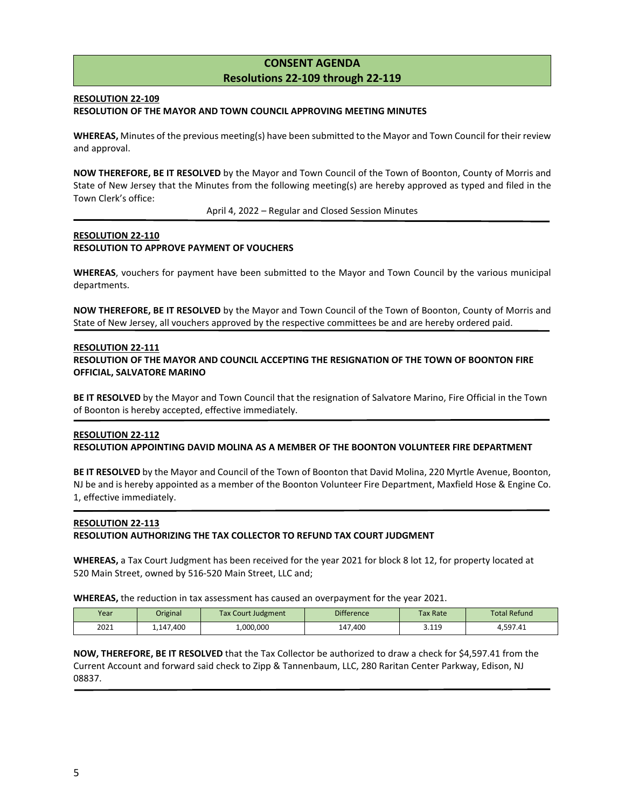# **CONSENT AGENDA Resolutions 22-109 through 22-119**

### **RESOLUTION 22-109**

#### **RESOLUTION OF THE MAYOR AND TOWN COUNCIL APPROVING MEETING MINUTES**

**WHEREAS,** Minutes of the previous meeting(s) have been submitted to the Mayor and Town Council for their review and approval.

**NOW THEREFORE, BE IT RESOLVED** by the Mayor and Town Council of the Town of Boonton, County of Morris and State of New Jersey that the Minutes from the following meeting(s) are hereby approved as typed and filed in the Town Clerk's office:

April 4, 2022 – Regular and Closed Session Minutes

# **RESOLUTION 22-110 RESOLUTION TO APPROVE PAYMENT OF VOUCHERS**

**WHEREAS**, vouchers for payment have been submitted to the Mayor and Town Council by the various municipal departments.

**NOW THEREFORE, BE IT RESOLVED** by the Mayor and Town Council of the Town of Boonton, County of Morris and State of New Jersey, all vouchers approved by the respective committees be and are hereby ordered paid.

#### **RESOLUTION 22-111**

**RESOLUTION OF THE MAYOR AND COUNCIL ACCEPTING THE RESIGNATION OF THE TOWN OF BOONTON FIRE OFFICIAL, SALVATORE MARINO**

**BE IT RESOLVED** by the Mayor and Town Council that the resignation of Salvatore Marino, Fire Official in the Town of Boonton is hereby accepted, effective immediately.

# **RESOLUTION 22-112 RESOLUTION APPOINTING DAVID MOLINA AS A MEMBER OF THE BOONTON VOLUNTEER FIRE DEPARTMENT**

**BE IT RESOLVED** by the Mayor and Council of the Town of Boonton that David Molina, 220 Myrtle Avenue, Boonton, NJ be and is hereby appointed as a member of the Boonton Volunteer Fire Department, Maxfield Hose & Engine Co. 1, effective immediately.

# **RESOLUTION 22-113**

#### **RESOLUTION AUTHORIZING THE TAX COLLECTOR TO REFUND TAX COURT JUDGMENT**

**WHEREAS,** a Tax Court Judgment has been received for the year 2021 for block 8 lot 12, for property located at 520 Main Street, owned by 516-520 Main Street, LLC and;

**WHEREAS,** the reduction in tax assessment has caused an overpayment for the year 2021.

| Year | Original  | <b>Tax Court Judgment</b> | <b>Difference</b> | Tax Rate           | <b>Total Refund</b> |
|------|-----------|---------------------------|-------------------|--------------------|---------------------|
| 2021 | 1.147.400 | 1,000,000                 | 147,400           | : 119<br>- - - - - | 1.597.41            |

**NOW, THEREFORE, BE IT RESOLVED** that the Tax Collector be authorized to draw a check for \$4,597.41 from the Current Account and forward said check to Zipp & Tannenbaum, LLC, 280 Raritan Center Parkway, Edison, NJ 08837.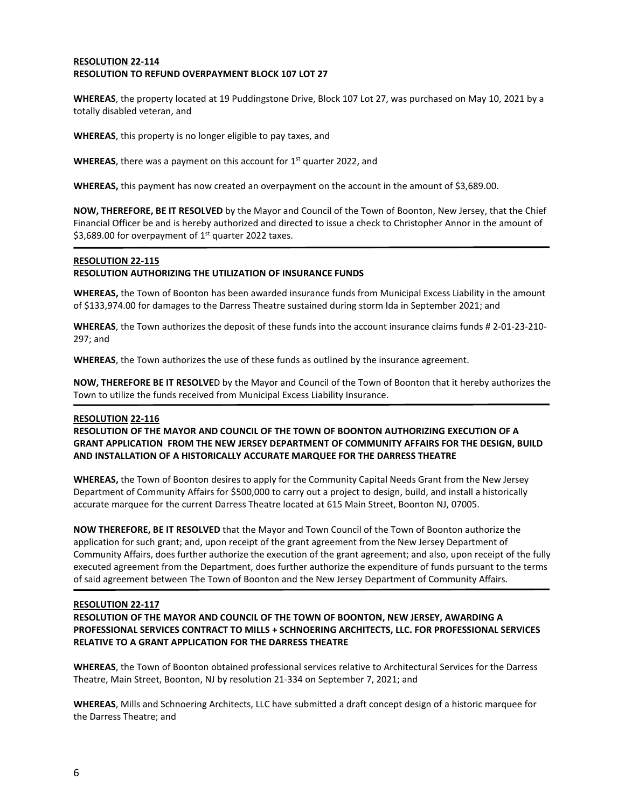#### **RESOLUTION 22-114 RESOLUTION TO REFUND OVERPAYMENT BLOCK 107 LOT 27**

**WHEREAS**, the property located at 19 Puddingstone Drive, Block 107 Lot 27, was purchased on May 10, 2021 by a totally disabled veteran, and

**WHEREAS**, this property is no longer eligible to pay taxes, and

**WHEREAS**, there was a payment on this account for 1<sup>st</sup> quarter 2022, and

**WHEREAS,** this payment has now created an overpayment on the account in the amount of \$3,689.00.

**NOW, THEREFORE, BE IT RESOLVED** by the Mayor and Council of the Town of Boonton, New Jersey, that the Chief Financial Officer be and is hereby authorized and directed to issue a check to Christopher Annor in the amount of \$3,689.00 for overpayment of  $1<sup>st</sup>$  quarter 2022 taxes.

#### **RESOLUTION 22-115**

#### **RESOLUTION AUTHORIZING THE UTILIZATION OF INSURANCE FUNDS**

**WHEREAS,** the Town of Boonton has been awarded insurance funds from Municipal Excess Liability in the amount of \$133,974.00 for damages to the Darress Theatre sustained during storm Ida in September 2021; and

**WHEREAS**, the Town authorizes the deposit of these funds into the account insurance claims funds # 2-01-23-210- 297; and

**WHEREAS**, the Town authorizes the use of these funds as outlined by the insurance agreement.

**NOW, THEREFORE BE IT RESOLVE**D by the Mayor and Council of the Town of Boonton that it hereby authorizes the Town to utilize the funds received from Municipal Excess Liability Insurance.

#### **RESOLUTION 22-116**

**RESOLUTION OF THE MAYOR AND COUNCIL OF THE TOWN OF BOONTON AUTHORIZING EXECUTION OF A GRANT APPLICATION FROM THE NEW JERSEY DEPARTMENT OF COMMUNITY AFFAIRS FOR THE DESIGN, BUILD AND INSTALLATION OF A HISTORICALLY ACCURATE MARQUEE FOR THE DARRESS THEATRE**

**WHEREAS,** the Town of Boonton desires to apply for the Community Capital Needs Grant from the New Jersey Department of Community Affairs for \$500,000 to carry out a project to design, build, and install a historically accurate marquee for the current Darress Theatre located at 615 Main Street, Boonton NJ, 07005.

**NOW THEREFORE, BE IT RESOLVED** that the Mayor and Town Council of the Town of Boonton authorize the application for such grant; and, upon receipt of the grant agreement from the New Jersey Department of Community Affairs, does further authorize the execution of the grant agreement; and also, upon receipt of the fully executed agreement from the Department, does further authorize the expenditure of funds pursuant to the terms of said agreement between The Town of Boonton and the New Jersey Department of Community Affairs.

#### **RESOLUTION 22-117**

**RESOLUTION OF THE MAYOR AND COUNCIL OF THE TOWN OF BOONTON, NEW JERSEY, AWARDING A PROFESSIONAL SERVICES CONTRACT TO MILLS + SCHNOERING ARCHITECTS, LLC. FOR PROFESSIONAL SERVICES RELATIVE TO A GRANT APPLICATION FOR THE DARRESS THEATRE** 

**WHEREAS**, the Town of Boonton obtained professional services relative to Architectural Services for the Darress Theatre, Main Street, Boonton, NJ by resolution 21-334 on September 7, 2021; and

**WHEREAS**, Mills and Schnoering Architects, LLC have submitted a draft concept design of a historic marquee for the Darress Theatre; and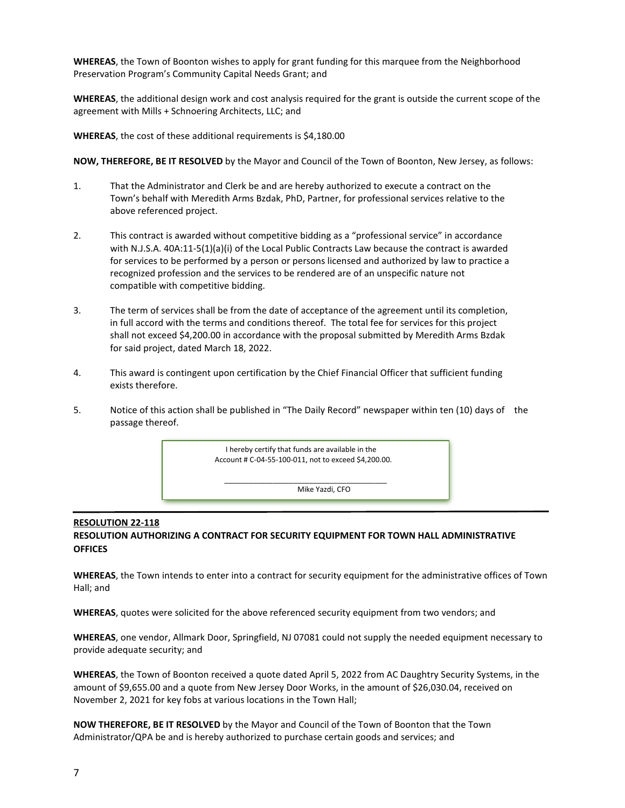**WHEREAS**, the Town of Boonton wishes to apply for grant funding for this marquee from the Neighborhood Preservation Program's Community Capital Needs Grant; and

**WHEREAS**, the additional design work and cost analysis required for the grant is outside the current scope of the agreement with Mills + Schnoering Architects, LLC; and

**WHEREAS**, the cost of these additional requirements is \$4,180.00

**NOW, THEREFORE, BE IT RESOLVED** by the Mayor and Council of the Town of Boonton, New Jersey, as follows:

- 1. That the Administrator and Clerk be and are hereby authorized to execute a contract on the Town's behalf with Meredith Arms Bzdak, PhD, Partner, for professional services relative to the above referenced project.
- 2. This contract is awarded without competitive bidding as a "professional service" in accordance with N.J.S.A. 40A:11-5(1)(a)(i) of the Local Public Contracts Law because the contract is awarded for services to be performed by a person or persons licensed and authorized by law to practice a recognized profession and the services to be rendered are of an unspecific nature not compatible with competitive bidding.
- 3. The term of services shall be from the date of acceptance of the agreement until its completion, in full accord with the terms and conditions thereof. The total fee for services for this project shall not exceed \$4,200.00 in accordance with the proposal submitted by Meredith Arms Bzdak for said project, dated March 18, 2022.
- 4. This award is contingent upon certification by the Chief Financial Officer that sufficient funding exists therefore.
- 5. Notice of this action shall be published in "The Daily Record" newspaper within ten (10) days of the passage thereof.



# **RESOLUTION 22-118 RESOLUTION AUTHORIZING A CONTRACT FOR SECURITY EQUIPMENT FOR TOWN HALL ADMINISTRATIVE OFFICES**

**WHEREAS**, the Town intends to enter into a contract for security equipment for the administrative offices of Town Hall; and

**WHEREAS**, quotes were solicited for the above referenced security equipment from two vendors; and

**WHEREAS**, one vendor, Allmark Door, Springfield, NJ 07081 could not supply the needed equipment necessary to provide adequate security; and

**WHEREAS**, the Town of Boonton received a quote dated April 5, 2022 from AC Daughtry Security Systems, in the amount of \$9,655.00 and a quote from New Jersey Door Works, in the amount of \$26,030.04, received on November 2, 2021 for key fobs at various locations in the Town Hall;

**NOW THEREFORE, BE IT RESOLVED** by the Mayor and Council of the Town of Boonton that the Town Administrator/QPA be and is hereby authorized to purchase certain goods and services; and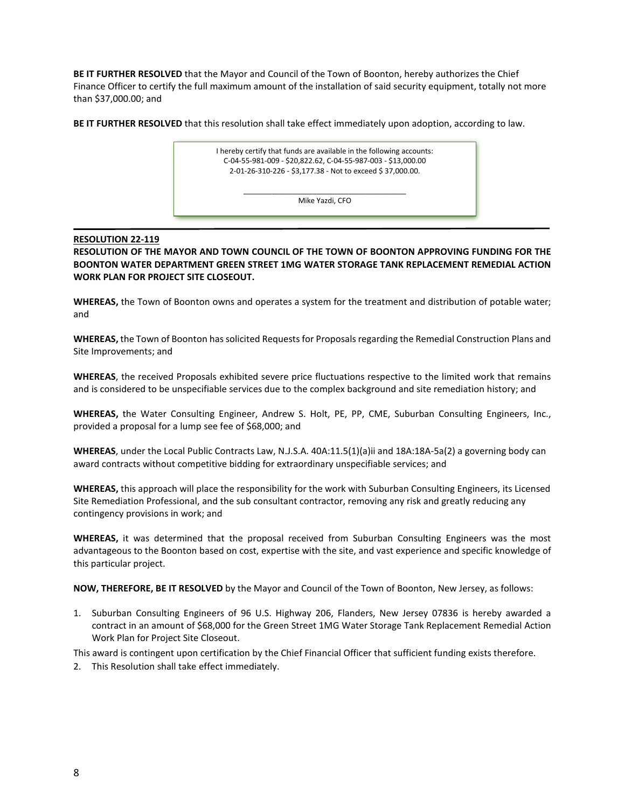**BE IT FURTHER RESOLVED** that the Mayor and Council of the Town of Boonton, hereby authorizes the Chief Finance Officer to certify the full maximum amount of the installation of said security equipment, totally not more than \$37,000.00; and

**BE IT FURTHER RESOLVED** that this resolution shall take effect immediately upon adoption, according to law.



# **RESOLUTION 22-119**

**RESOLUTION OF THE MAYOR AND TOWN COUNCIL OF THE TOWN OF BOONTON APPROVING FUNDING FOR THE BOONTON WATER DEPARTMENT GREEN STREET 1MG WATER STORAGE TANK REPLACEMENT REMEDIAL ACTION WORK PLAN FOR PROJECT SITE CLOSEOUT.** 

**WHEREAS,** the Town of Boonton owns and operates a system for the treatment and distribution of potable water; and

**WHEREAS,** the Town of Boonton has solicited Requests for Proposals regarding the Remedial Construction Plans and Site Improvements; and

**WHEREAS**, the received Proposals exhibited severe price fluctuations respective to the limited work that remains and is considered to be unspecifiable services due to the complex background and site remediation history; and

**WHEREAS,** the Water Consulting Engineer, Andrew S. Holt, PE, PP, CME, Suburban Consulting Engineers, Inc., provided a proposal for a lump see fee of \$68,000; and

**WHEREAS**, under the Local Public Contracts Law, N.J.S.A. 40A:11.5(1)(a)ii and 18A:18A-5a(2) a governing body can award contracts without competitive bidding for extraordinary unspecifiable services; and

**WHEREAS,** this approach will place the responsibility for the work with Suburban Consulting Engineers, its Licensed Site Remediation Professional, and the sub consultant contractor, removing any risk and greatly reducing any contingency provisions in work; and

**WHEREAS,** it was determined that the proposal received from Suburban Consulting Engineers was the most advantageous to the Boonton based on cost, expertise with the site, and vast experience and specific knowledge of this particular project.

**NOW, THEREFORE, BE IT RESOLVED** by the Mayor and Council of the Town of Boonton, New Jersey, as follows:

1. Suburban Consulting Engineers of 96 U.S. Highway 206, Flanders, New Jersey 07836 is hereby awarded a contract in an amount of \$68,000 for the Green Street 1MG Water Storage Tank Replacement Remedial Action Work Plan for Project Site Closeout.

This award is contingent upon certification by the Chief Financial Officer that sufficient funding exists therefore.

2. This Resolution shall take effect immediately.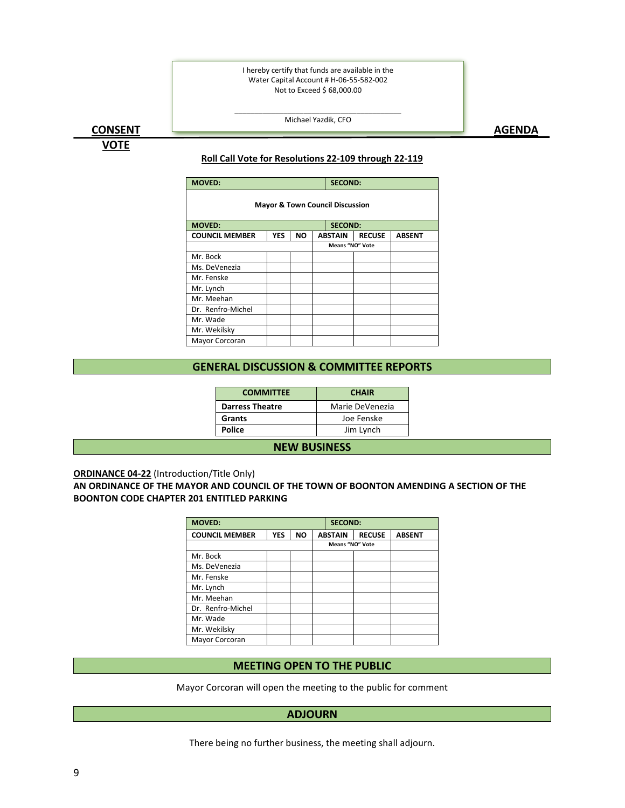I hereby certify that funds are available in the Water Capital Account # H-06-55-582-002 Not to Exceed \$ 68,000.00

# <u>CONSENT AGENDA AGENDA AGENDA AGENDA AGENDA AGENDA AGENDA AGENDA AGENDA AGENDA AGENDA AGENDA AGENDA AGENDA AGEN</u>

**VOTE**

#### \_\_\_\_\_\_\_\_\_\_\_\_\_\_\_\_\_\_\_\_\_\_\_\_\_\_\_\_\_\_\_\_\_\_\_\_\_\_\_\_\_ Michael Yazdik, CFO

# **Roll Call Vote for Resolutions 22-109 through 22-119**

| <b>MOVED:</b><br><b>SECOND:</b>            |            |           |                        |                |               |               |  |
|--------------------------------------------|------------|-----------|------------------------|----------------|---------------|---------------|--|
| <b>Mayor &amp; Town Council Discussion</b> |            |           |                        |                |               |               |  |
| <b>MOVED:</b>                              |            |           |                        | <b>SECOND:</b> |               |               |  |
| <b>COUNCIL MEMBER</b>                      | <b>YES</b> | <b>NO</b> |                        | <b>ABSTAIN</b> | <b>RECUSE</b> | <b>ABSENT</b> |  |
|                                            |            |           | <b>Means "NO" Vote</b> |                |               |               |  |
| Mr. Bock                                   |            |           |                        |                |               |               |  |
| Ms. DeVenezia                              |            |           |                        |                |               |               |  |
| Mr. Fenske                                 |            |           |                        |                |               |               |  |
| Mr. Lynch                                  |            |           |                        |                |               |               |  |
| Mr. Meehan                                 |            |           |                        |                |               |               |  |
| Dr. Renfro-Michel                          |            |           |                        |                |               |               |  |
| Mr. Wade                                   |            |           |                        |                |               |               |  |
| Mr. Wekilsky                               |            |           |                        |                |               |               |  |
| Mayor Corcoran                             |            |           |                        |                |               |               |  |

### **GENERAL DISCUSSION & COMMITTEE REPORTS**

| <b>CHAIR</b>    |  |  |
|-----------------|--|--|
| Marie DeVenezia |  |  |
| Joe Fenske      |  |  |
| Jim Lynch       |  |  |
|                 |  |  |

#### **NEW BUSINESS**

# **ORDINANCE 04-22** (Introduction/Title Only)

# **AN ORDINANCE OF THE MAYOR AND COUNCIL OF THE TOWN OF BOONTON AMENDING A SECTION OF THE BOONTON CODE CHAPTER 201 ENTITLED PARKING**

| <b>MOVED:</b>         |            |           |  | <b>SECOND:</b>         |               |               |  |
|-----------------------|------------|-----------|--|------------------------|---------------|---------------|--|
| <b>COUNCIL MEMBER</b> | <b>YES</b> | <b>NO</b> |  | <b>ABSTAIN</b>         | <b>RECUSE</b> | <b>ABSENT</b> |  |
|                       |            |           |  | <b>Means "NO" Vote</b> |               |               |  |
| Mr. Bock              |            |           |  |                        |               |               |  |
| Ms. DeVenezia         |            |           |  |                        |               |               |  |
| Mr. Fenske            |            |           |  |                        |               |               |  |
| Mr. Lynch             |            |           |  |                        |               |               |  |
| Mr. Meehan            |            |           |  |                        |               |               |  |
| Dr. Renfro-Michel     |            |           |  |                        |               |               |  |
| Mr. Wade              |            |           |  |                        |               |               |  |
| Mr. Wekilsky          |            |           |  |                        |               |               |  |
| Mayor Corcoran        |            |           |  |                        |               |               |  |

# **MEETING OPEN TO THE PUBLIC**

Mayor Corcoran will open the meeting to the public for comment

# **ADJOURN**

There being no further business, the meeting shall adjourn.